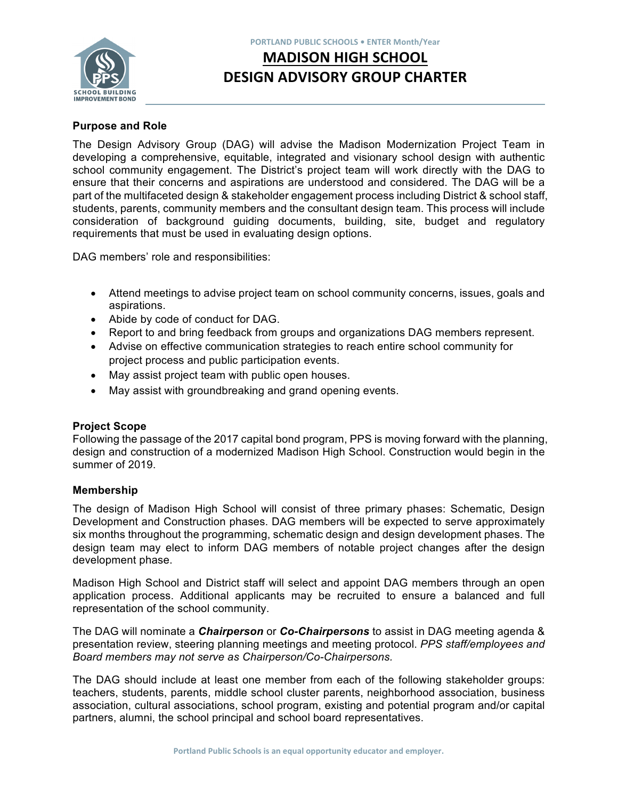

#### **PORTLAND PUBLIC SCHOOLS • ENTER Month/Year**

# **MADISON HIGH SCHOOL DESIGN ADVISORY GROUP CHARTER**

## **Purpose and Role**

The Design Advisory Group (DAG) will advise the Madison Modernization Project Team in developing a comprehensive, equitable, integrated and visionary school design with authentic school community engagement. The District's project team will work directly with the DAG to ensure that their concerns and aspirations are understood and considered. The DAG will be a part of the multifaceted design & stakeholder engagement process including District & school staff, students, parents, community members and the consultant design team. This process will include consideration of background guiding documents, building, site, budget and regulatory requirements that must be used in evaluating design options.

DAG members' role and responsibilities:

- Attend meetings to advise project team on school community concerns, issues, goals and aspirations.
- Abide by code of conduct for DAG.
- Report to and bring feedback from groups and organizations DAG members represent.
- Advise on effective communication strategies to reach entire school community for project process and public participation events.
- May assist project team with public open houses.
- May assist with groundbreaking and grand opening events.

## **Project Scope**

Following the passage of the 2017 capital bond program, PPS is moving forward with the planning, design and construction of a modernized Madison High School. Construction would begin in the summer of 2019.

## **Membership**

The design of Madison High School will consist of three primary phases: Schematic, Design Development and Construction phases. DAG members will be expected to serve approximately six months throughout the programming, schematic design and design development phases. The design team may elect to inform DAG members of notable project changes after the design development phase.

Madison High School and District staff will select and appoint DAG members through an open application process. Additional applicants may be recruited to ensure a balanced and full representation of the school community.

The DAG will nominate a *Chairperson* or *Co-Chairpersons* to assist in DAG meeting agenda & presentation review, steering planning meetings and meeting protocol. *PPS staff/employees and Board members may not serve as Chairperson/Co-Chairpersons.* 

The DAG should include at least one member from each of the following stakeholder groups: teachers, students, parents, middle school cluster parents, neighborhood association, business association, cultural associations, school program, existing and potential program and/or capital partners, alumni, the school principal and school board representatives.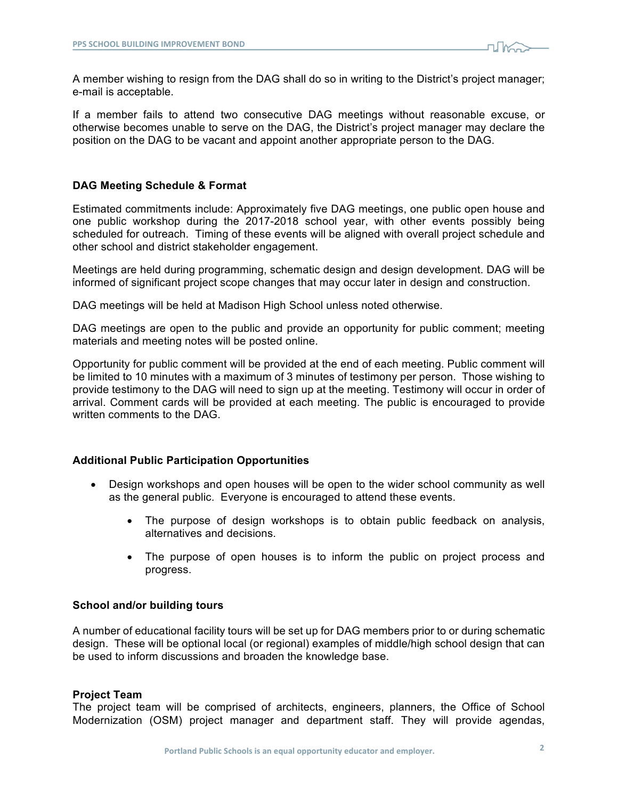

A member wishing to resign from the DAG shall do so in writing to the District's project manager; e-mail is acceptable.

If a member fails to attend two consecutive DAG meetings without reasonable excuse, or otherwise becomes unable to serve on the DAG, the District's project manager may declare the position on the DAG to be vacant and appoint another appropriate person to the DAG.

### **DAG Meeting Schedule & Format**

Estimated commitments include: Approximately five DAG meetings, one public open house and one public workshop during the 2017-2018 school year, with other events possibly being scheduled for outreach. Timing of these events will be aligned with overall project schedule and other school and district stakeholder engagement.

Meetings are held during programming, schematic design and design development. DAG will be informed of significant project scope changes that may occur later in design and construction.

DAG meetings will be held at Madison High School unless noted otherwise.

DAG meetings are open to the public and provide an opportunity for public comment; meeting materials and meeting notes will be posted online.

Opportunity for public comment will be provided at the end of each meeting. Public comment will be limited to 10 minutes with a maximum of 3 minutes of testimony per person. Those wishing to provide testimony to the DAG will need to sign up at the meeting. Testimony will occur in order of arrival. Comment cards will be provided at each meeting. The public is encouraged to provide written comments to the DAG.

#### **Additional Public Participation Opportunities**

- Design workshops and open houses will be open to the wider school community as well as the general public. Everyone is encouraged to attend these events.
	- The purpose of design workshops is to obtain public feedback on analysis, alternatives and decisions.
	- The purpose of open houses is to inform the public on project process and progress.

#### **School and/or building tours**

A number of educational facility tours will be set up for DAG members prior to or during schematic design. These will be optional local (or regional) examples of middle/high school design that can be used to inform discussions and broaden the knowledge base.

#### **Project Team**

The project team will be comprised of architects, engineers, planners, the Office of School Modernization (OSM) project manager and department staff. They will provide agendas,